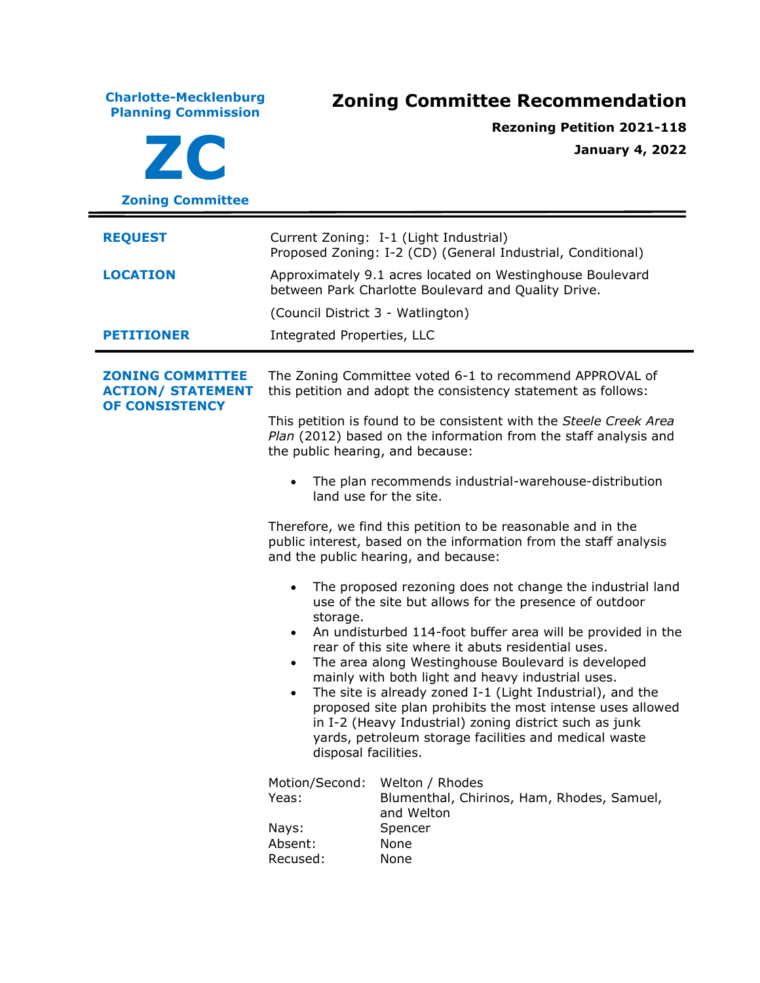**Charlotte-Mecklenburg Planning Commission Zoning Committee Recommendation ZC Zoning Committee Rezoning Petition 2021-118 January 4, 2022 REQUEST** Current Zoning: I-1 (Light Industrial) Proposed Zoning: I-2 (CD) (General Industrial, Conditional) **LOCATION** Approximately 9.1 acres located on Westinghouse Boulevard between Park Charlotte Boulevard and Quality Drive. (Council District 3 - Watlington) **PETITIONER** Integrated Properties, LLC **ZONING COMMITTEE ACTION/ STATEMENT OF CONSISTENCY** The Zoning Committee voted 6-1 to recommend APPROVAL of this petition and adopt the consistency statement as follows: This petition is found to be consistent with the *Steele Creek Area Plan* (2012) based on the information from the staff analysis and the public hearing, and because: • The plan recommends industrial-warehouse-distribution land use for the site. Therefore, we find this petition to be reasonable and in the public interest, based on the information from the staff analysis and the public hearing, and because: • The proposed rezoning does not change the industrial land use of the site but allows for the presence of outdoor storage. • An undisturbed 114-foot buffer area will be provided in the rear of this site where it abuts residential uses. • The area along Westinghouse Boulevard is developed mainly with both light and heavy industrial uses. • The site is already zoned I-1 (Light Industrial), and the proposed site plan prohibits the most intense uses allowed in I-2 (Heavy Industrial) zoning district such as junk yards, petroleum storage facilities and medical waste disposal facilities. Motion/Second: Welton / Rhodes Yeas: Blumenthal, Chirinos, Ham, Rhodes, Samuel, and Welton Nays: Spencer Absent: None Recused: None